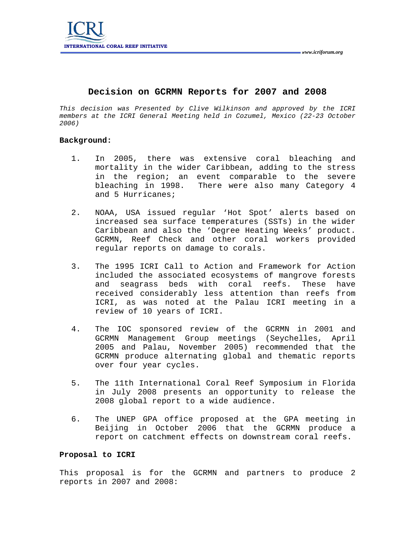

## **Decision on GCRMN Reports for 2007 and 2008**

*This decision was Presented by Clive Wilkinson and approved by the ICRI members at the ICRI General Meeting held in Cozumel, Mexico (22-23 October 2006)* 

## **Background:**

- 1. In 2005, there was extensive coral bleaching and mortality in the wider Caribbean, adding to the stress in the region; an event comparable to the severe<br>bleaching in 1998. There were also many Category 4 There were also many Category 4 and 5 Hurricanes;
- 2. NOAA, USA issued regular 'Hot Spot' alerts based on increased sea surface temperatures (SSTs) in the wider Caribbean and also the 'Degree Heating Weeks' product. GCRMN, Reef Check and other coral workers provided regular reports on damage to corals.
- 3. The 1995 ICRI Call to Action and Framework for Action included the associated ecosystems of mangrove forests and seagrass beds with coral reefs. These have received considerably less attention than reefs from ICRI, as was noted at the Palau ICRI meeting in a review of 10 years of ICRI.
- 4. The IOC sponsored review of the GCRMN in 2001 and GCRMN Management Group meetings (Seychelles, April 2005 and Palau, November 2005) recommended that the GCRMN produce alternating global and thematic reports over four year cycles.
- 5. The 11th International Coral Reef Symposium in Florida in July 2008 presents an opportunity to release the 2008 global report to a wide audience.
- 6. The UNEP GPA office proposed at the GPA meeting in Beijing in October 2006 that the GCRMN produce a report on catchment effects on downstream coral reefs.

## **Proposal to ICRI**

This proposal is for the GCRMN and partners to produce 2 reports in 2007 and 2008: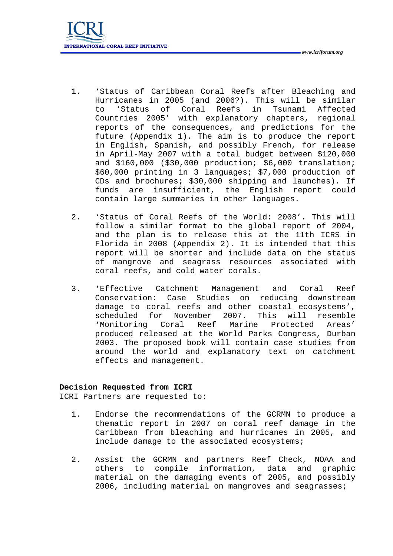- 1. 'Status of Caribbean Coral Reefs after Bleaching and Hurricanes in 2005 (and 2006?). This will be similar to 'Status of Coral Reefs in Tsunami Affected Countries 2005' with explanatory chapters, regional reports of the consequences, and predictions for the future (Appendix 1). The aim is to produce the report in English, Spanish, and possibly French, for release in April-May 2007 with a total budget between \$120,000 and \$160,000 (\$30,000 production; \$6,000 translation; \$60,000 printing in 3 languages; \$7,000 production of CDs and brochures; \$30,000 shipping and launches). If funds are insufficient, the English report could contain large summaries in other languages.
- 2. 'Status of Coral Reefs of the World: 2008'. This will follow a similar format to the global report of 2004, and the plan is to release this at the 11th ICRS in Florida in 2008 (Appendix 2). It is intended that this report will be shorter and include data on the status of mangrove and seagrass resources associated with coral reefs, and cold water corals.
- 3. 'Effective Catchment Management and Coral Reef Conservation: Case Studies on reducing downstream damage to coral reefs and other coastal ecosystems', scheduled for November 2007. This will resemble 'Monitoring Coral Reef Marine Protected Areas' produced released at the World Parks Congress, Durban 2003. The proposed book will contain case studies from around the world and explanatory text on catchment effects and management.

## **Decision Requested from ICRI**

ICRI Partners are requested to:

- 1. Endorse the recommendations of the GCRMN to produce a thematic report in 2007 on coral reef damage in the Caribbean from bleaching and hurricanes in 2005, and include damage to the associated ecosystems;
- 2. Assist the GCRMN and partners Reef Check, NOAA and others to compile information, data and graphic material on the damaging events of 2005, and possibly 2006, including material on mangroves and seagrasses;